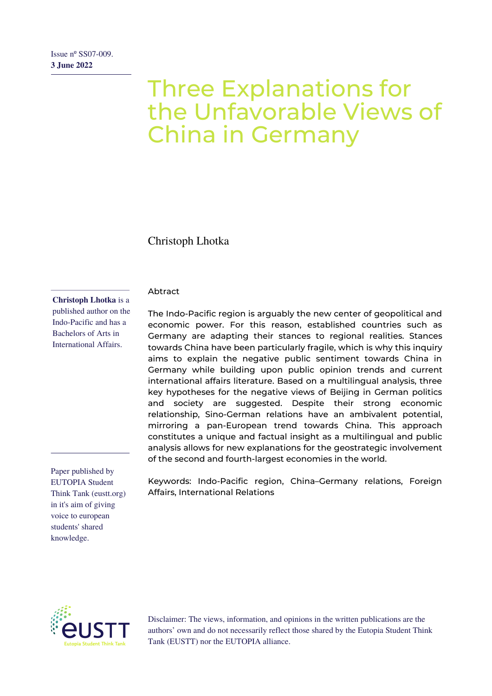# Three Explanations for the Unfavorable Views of China in Germany

Christoph Lhotka

#### Abtract

**Christoph Lhotka** is a published author on the Indo-Pacific and has a Bachelors of Arts in International Affairs.

Paper published by EUTOPIA Student Think Tank (eustt.org) in it's aim of giving voice to european students' shared knowledge.

The Indo-Pacific region is arguably the new center of geopolitical and economic power. For this reason, established countries such as Germany are adapting their stances to regional realities. Stances towards China have been particularly fragile, which is why this inquiry aims to explain the negative public sentiment towards China in Germany while building upon public opinion trends and current international affairs literature. Based on a multilingual analysis, three key hypotheses for the negative views of Beijing in German politics and society are suggested. Despite their strong economic relationship, Sino-German relations have an ambivalent potential, mirroring a pan-European trend towards China. This approach constitutes a unique and factual insight as a multilingual and public analysis allows for new explanations for the geostrategic involvement of the second and fourth-largest economies in the world.

Keywords: Indo-Pacific region, China–Germany relations, Foreign Affairs, International Relations



Disclaimer: The views, information, and opinions in the written publications are the authors' own and do not necessarily reflect those shared by the Eutopia Student Think Tank (EUSTT) nor the EUTOPIA alliance.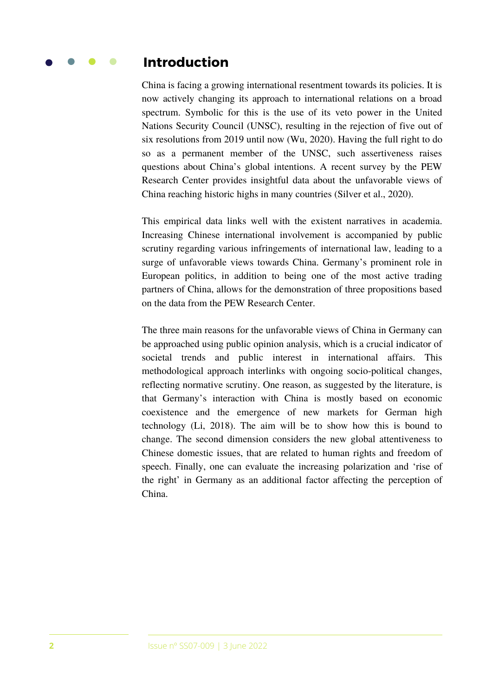#### **Introduction**

China is facing a growing international resentment towards its policies. It is now actively changing its approach to international relations on a broad spectrum. Symbolic for this is the use of its veto power in the United Nations Security Council (UNSC), resulting in the rejection of five out of six resolutions from 2019 until now (Wu, 2020). Having the full right to do so as a permanent member of the UNSC, such assertiveness raises questions about China's global intentions. A recent survey by the PEW Research Center provides insightful data about the unfavorable views of China reaching historic highs in many countries (Silver et al., 2020).

This empirical data links well with the existent narratives in academia. Increasing Chinese international involvement is accompanied by public scrutiny regarding various infringements of international law, leading to a surge of unfavorable views towards China. Germany's prominent role in European politics, in addition to being one of the most active trading partners of China, allows for the demonstration of three propositions based on the data from the PEW Research Center.

The three main reasons for the unfavorable views of China in Germany can be approached using public opinion analysis, which is a crucial indicator of societal trends and public interest in international affairs. This methodological approach interlinks with ongoing socio-political changes, reflecting normative scrutiny. One reason, as suggested by the literature, is that Germany's interaction with China is mostly based on economic coexistence and the emergence of new markets for German high technology (Li, 2018). The aim will be to show how this is bound to change. The second dimension considers the new global attentiveness to Chinese domestic issues, that are related to human rights and freedom of speech. Finally, one can evaluate the increasing polarization and 'rise of the right' in Germany as an additional factor affecting the perception of China.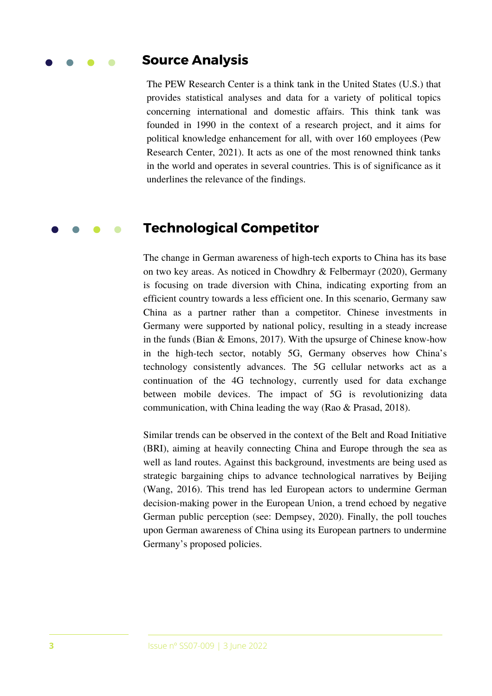#### **Source Analysis**

The PEW Research Center is a think tank in the United States (U.S.) that provides statistical analyses and data for a variety of political topics concerning international and domestic affairs. This think tank was founded in 1990 in the context of a research project, and it aims for political knowledge enhancement for all, with over 160 employees (Pew Research Center, 2021). It acts as one of the most renowned think tanks in the world and operates in several countries. This is of significance as it underlines the relevance of the findings.

#### **Technological Competitor**

The change in German awareness of high-tech exports to China has its base on two key areas. As noticed in Chowdhry & Felbermayr (2020), Germany is focusing on trade diversion with China, indicating exporting from an efficient country towards a less efficient one. In this scenario, Germany saw China as a partner rather than a competitor. Chinese investments in Germany were supported by national policy, resulting in a steady increase in the funds (Bian & Emons, 2017). With the upsurge of Chinese know-how in the high-tech sector, notably 5G, Germany observes how China's technology consistently advances. The 5G cellular networks act as a continuation of the 4G technology, currently used for data exchange between mobile devices. The impact of 5G is revolutionizing data communication, with China leading the way (Rao & Prasad, 2018).

Similar trends can be observed in the context of the Belt and Road Initiative (BRI), aiming at heavily connecting China and Europe through the sea as well as land routes. Against this background, investments are being used as strategic bargaining chips to advance technological narratives by Beijing (Wang, 2016). This trend has led European actors to undermine German decision-making power in the European Union, a trend echoed by negative German public perception (see: Dempsey, 2020). Finally, the poll touches upon German awareness of China using its European partners to undermine Germany's proposed policies.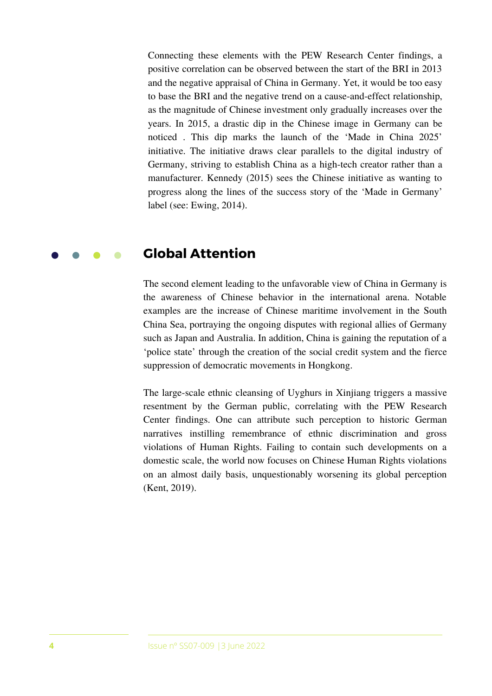Connecting these elements with the PEW Research Center findings, a positive correlation can be observed between the start of the BRI in 2013 and the negative appraisal of China in Germany. Yet, it would be too easy to base the BRI and the negative trend on a cause-and-effect relationship, as the magnitude of Chinese investment only gradually increases over the years. In 2015, a drastic dip in the Chinese image in Germany can be noticed . This dip marks the launch of the 'Made in China 2025' initiative. The initiative draws clear parallels to the digital industry of Germany, striving to establish China as a high-tech creator rather than a manufacturer. Kennedy (2015) sees the Chinese initiative as wanting to progress along the lines of the success story of the 'Made in Germany' label (see: Ewing, 2014).

#### **Global Attention**

The second element leading to the unfavorable view of China in Germany is the awareness of Chinese behavior in the international arena. Notable examples are the increase of Chinese maritime involvement in the South China Sea, portraying the ongoing disputes with regional allies of Germany such as Japan and Australia. In addition, China is gaining the reputation of a 'police state' through the creation of the social credit system and the fierce suppression of democratic movements in Hongkong.

The large-scale ethnic cleansing of Uyghurs in Xinjiang triggers a massive resentment by the German public, correlating with the PEW Research Center findings. One can attribute such perception to historic German narratives instilling remembrance of ethnic discrimination and gross violations of Human Rights. Failing to contain such developments on a domestic scale, the world now focuses on Chinese Human Rights violations on an almost daily basis, unquestionably worsening its global perception (Kent, 2019).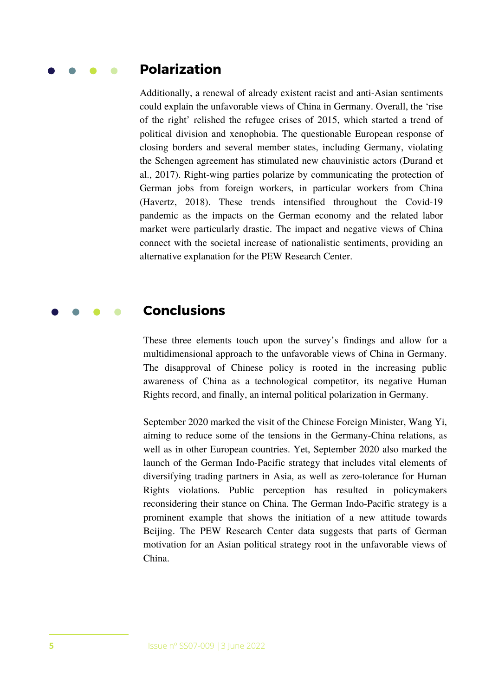### **Polarization**

Additionally, a renewal of already existent racist and anti-Asian sentiments could explain the unfavorable views of China in Germany. Overall, the 'rise of the right' relished the refugee crises of 2015, which started a trend of political division and xenophobia. The questionable European response of closing borders and several member states, including Germany, violating the Schengen agreement has stimulated new chauvinistic actors (Durand et al., 2017). Right-wing parties polarize by communicating the protection of German jobs from foreign workers, in particular workers from China (Havertz, 2018). These trends intensified throughout the Covid-19 pandemic as the impacts on the German economy and the related labor market were particularly drastic. The impact and negative views of China connect with the societal increase of nationalistic sentiments, providing an alternative explanation for the PEW Research Center.

#### **Conclusions**

These three elements touch upon the survey's findings and allow for a multidimensional approach to the unfavorable views of China in Germany. The disapproval of Chinese policy is rooted in the increasing public awareness of China as a technological competitor, its negative Human Rights record, and finally, an internal political polarization in Germany.

September 2020 marked the visit of the Chinese Foreign Minister, Wang Yi, aiming to reduce some of the tensions in the Germany-China relations, as well as in other European countries. Yet, September 2020 also marked the launch of the German Indo-Pacific strategy that includes vital elements of diversifying trading partners in Asia, as well as zero-tolerance for Human Rights violations. Public perception has resulted in policymakers reconsidering their stance on China. The German Indo-Pacific strategy is a prominent example that shows the initiation of a new attitude towards Beijing. The PEW Research Center data suggests that parts of German motivation for an Asian political strategy root in the unfavorable views of China.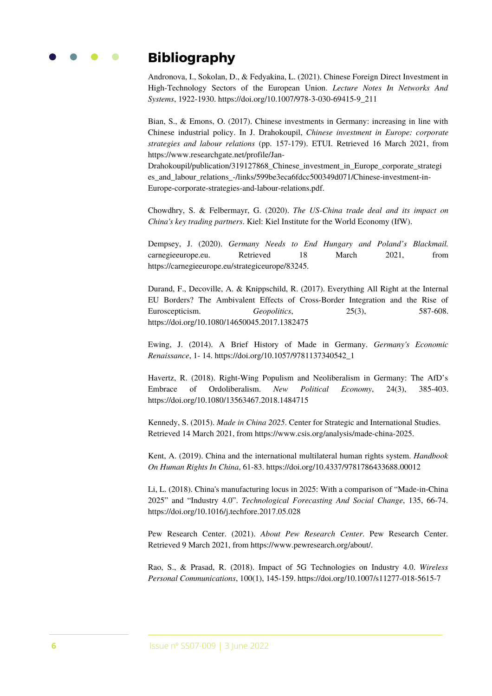

## **Bibliography**

Andronova, I., Sokolan, D., & Fedyakina, L. (2021). Chinese Foreign Direct Investment in High-Technology Sectors of the European Union. *Lecture Notes In Networks And Systems*, 1922-1930. https://doi.org/10.1007/978-3-030-69415-9\_211

Bian, S., & Emons, O. (2017). Chinese investments in Germany: increasing in line with Chinese industrial policy. In J. Drahokoupil, *Chinese investment in Europe: corporate strategies and labour relations* (pp. 157-179). ETUI. Retrieved 16 March 2021, from https://www.researchgate.net/profile/Jan-

Drahokoupil/publication/319127868\_Chinese\_investment\_in\_Europe\_corporate\_strategi es and labour relations -/links/599be3eca6fdcc500349d071/Chinese-investment-in-Europe-corporate-strategies-and-labour-relations.pdf.

Chowdhry, S. & Felbermayr, G. (2020). *The US-China trade deal and its impact on China's key trading partners*. Kiel: Kiel Institute for the World Economy (IfW).

Dempsey, J. (2020). *Germany Needs to End Hungary and Poland's Blackmail.* carnegieeurope.eu. Retrieved 18 March 2021, from https://carnegieeurope.eu/strategiceurope/83245.

Durand, F., Decoville, A. & Knippschild, R. (2017). Everything All Right at the Internal EU Borders? The Ambivalent Effects of Cross-Border Integration and the Rise of Euroscepticism. *Geopolitics*, 25(3), 587-608. https://doi.org/10.1080/14650045.2017.1382475

Ewing, J. (2014). A Brief History of Made in Germany. *Germany's Economic Renaissance*, 1- 14. https://doi.org/10.1057/9781137340542\_1

Havertz, R. (2018). Right-Wing Populism and Neoliberalism in Germany: The AfD's Embrace of Ordoliberalism. *New Political Economy*, 24(3), 385-403. https://doi.org/10.1080/13563467.2018.1484715

Kennedy, S. (2015). *Made in China 2025*. Center for Strategic and International Studies. Retrieved 14 March 2021, from https://www.csis.org/analysis/made-china-2025.

Kent, A. (2019). China and the international multilateral human rights system. *Handbook On Human Rights In China*, 61-83. https://doi.org/10.4337/9781786433688.00012

Li, L. (2018). China's manufacturing locus in 2025: With a comparison of "Made-in-China 2025" and "Industry 4.0". *Technological Forecasting And Social Change*, 135, 66-74. https://doi.org/10.1016/j.techfore.2017.05.028

Pew Research Center. (2021). *About Pew Research Center*. Pew Research Center. Retrieved 9 March 2021, from https://www.pewresearch.org/about/.

Rao, S., & Prasad, R. (2018). Impact of 5G Technologies on Industry 4.0. *Wireless Personal Communications*, 100(1), 145-159. https://doi.org/10.1007/s11277-018-5615-7